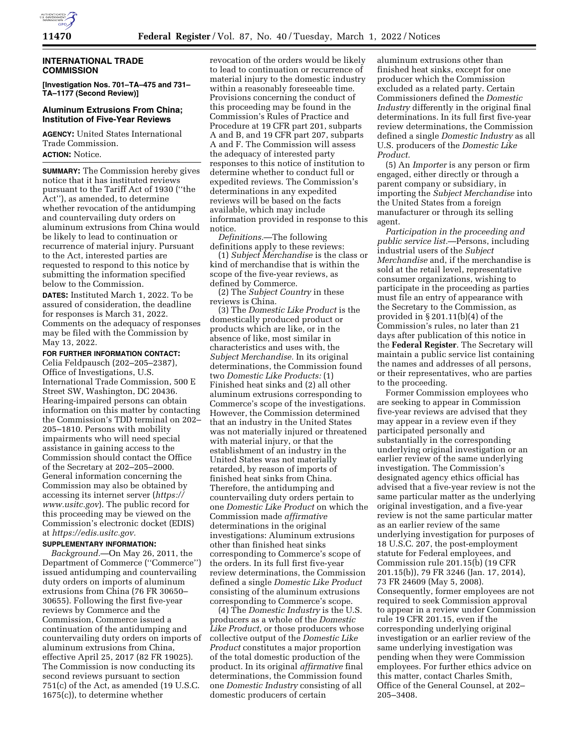

## **INTERNATIONAL TRADE COMMISSION**

**[Investigation Nos. 701–TA–475 and 731– TA–1177 (Second Review)]** 

## **Aluminum Extrusions From China; Institution of Five-Year Reviews**

**AGENCY:** United States International Trade Commission. **ACTION:** Notice.

**SUMMARY:** The Commission hereby gives notice that it has instituted reviews pursuant to the Tariff Act of 1930 (''the Act''), as amended, to determine whether revocation of the antidumping and countervailing duty orders on aluminum extrusions from China would be likely to lead to continuation or recurrence of material injury. Pursuant to the Act, interested parties are requested to respond to this notice by submitting the information specified below to the Commission.

**DATES:** Instituted March 1, 2022. To be assured of consideration, the deadline for responses is March 31, 2022. Comments on the adequacy of responses may be filed with the Commission by May 13, 2022.

### **FOR FURTHER INFORMATION CONTACT:**

Celia Feldpausch (202–205–2387), Office of Investigations, U.S. International Trade Commission, 500 E Street SW, Washington, DC 20436. Hearing-impaired persons can obtain information on this matter by contacting the Commission's TDD terminal on 202– 205–1810. Persons with mobility impairments who will need special assistance in gaining access to the Commission should contact the Office of the Secretary at 202–205–2000. General information concerning the Commission may also be obtained by accessing its internet server (*https:// www.usitc.gov*). The public record for this proceeding may be viewed on the Commission's electronic docket (EDIS) at *https://edis.usitc.gov.* 

# **SUPPLEMENTARY INFORMATION:**

*Background.*—On May 26, 2011, the Department of Commerce (''Commerce'') issued antidumping and countervailing duty orders on imports of aluminum extrusions from China (76 FR 30650– 30655). Following the first five-year reviews by Commerce and the Commission, Commerce issued a continuation of the antidumping and countervailing duty orders on imports of aluminum extrusions from China, effective April 25, 2017 (82 FR 19025). The Commission is now conducting its second reviews pursuant to section 751(c) of the Act, as amended (19 U.S.C. 1675(c)), to determine whether

revocation of the orders would be likely to lead to continuation or recurrence of material injury to the domestic industry within a reasonably foreseeable time. Provisions concerning the conduct of this proceeding may be found in the Commission's Rules of Practice and Procedure at 19 CFR part 201, subparts A and B, and 19 CFR part 207, subparts A and F. The Commission will assess the adequacy of interested party responses to this notice of institution to determine whether to conduct full or expedited reviews. The Commission's determinations in any expedited reviews will be based on the facts available, which may include information provided in response to this notice.

*Definitions.*—The following definitions apply to these reviews:

(1) *Subject Merchandise* is the class or kind of merchandise that is within the scope of the five-year reviews, as defined by Commerce.

(2) The *Subject Country* in these reviews is China.

(3) The *Domestic Like Product* is the domestically produced product or products which are like, or in the absence of like, most similar in characteristics and uses with, the *Subject Merchandise.* In its original determinations, the Commission found two *Domestic Like Products:* (1) Finished heat sinks and (2) all other aluminum extrusions corresponding to Commerce's scope of the investigations. However, the Commission determined that an industry in the United States was not materially injured or threatened with material injury, or that the establishment of an industry in the United States was not materially retarded, by reason of imports of finished heat sinks from China. Therefore, the antidumping and countervailing duty orders pertain to one *Domestic Like Product* on which the Commission made *affirmative*  determinations in the original investigations: Aluminum extrusions other than finished heat sinks corresponding to Commerce's scope of the orders. In its full first five-year review determinations, the Commission defined a single *Domestic Like Product*  consisting of the aluminum extrusions corresponding to Commerce's scope.

(4) The *Domestic Industry* is the U.S. producers as a whole of the *Domestic Like Product,* or those producers whose collective output of the *Domestic Like Product* constitutes a major proportion of the total domestic production of the product. In its original *affirmative* final determinations, the Commission found one *Domestic Industry* consisting of all domestic producers of certain

aluminum extrusions other than finished heat sinks, except for one producer which the Commission excluded as a related party. Certain Commissioners defined the *Domestic Industry* differently in the original final determinations. In its full first five-year review determinations, the Commission defined a single *Domestic Industry* as all U.S. producers of the *Domestic Like Product.* 

(5) An *Importer* is any person or firm engaged, either directly or through a parent company or subsidiary, in importing the *Subject Merchandise* into the United States from a foreign manufacturer or through its selling agent.

*Participation in the proceeding and public service list.*—Persons, including industrial users of the *Subject Merchandise* and, if the merchandise is sold at the retail level, representative consumer organizations, wishing to participate in the proceeding as parties must file an entry of appearance with the Secretary to the Commission, as provided in  $\S 201.11(b)(4)$  of the Commission's rules, no later than 21 days after publication of this notice in the **Federal Register**. The Secretary will maintain a public service list containing the names and addresses of all persons, or their representatives, who are parties to the proceeding.

Former Commission employees who are seeking to appear in Commission five-year reviews are advised that they may appear in a review even if they participated personally and substantially in the corresponding underlying original investigation or an earlier review of the same underlying investigation. The Commission's designated agency ethics official has advised that a five-year review is not the same particular matter as the underlying original investigation, and a five-year review is not the same particular matter as an earlier review of the same underlying investigation for purposes of 18 U.S.C. 207, the post-employment statute for Federal employees, and Commission rule 201.15(b) (19 CFR 201.15(b)), 79 FR 3246 (Jan. 17, 2014), 73 FR 24609 (May 5, 2008). Consequently, former employees are not required to seek Commission approval to appear in a review under Commission rule 19 CFR 201.15, even if the corresponding underlying original investigation or an earlier review of the same underlying investigation was pending when they were Commission employees. For further ethics advice on this matter, contact Charles Smith, Office of the General Counsel, at 202– 205–3408.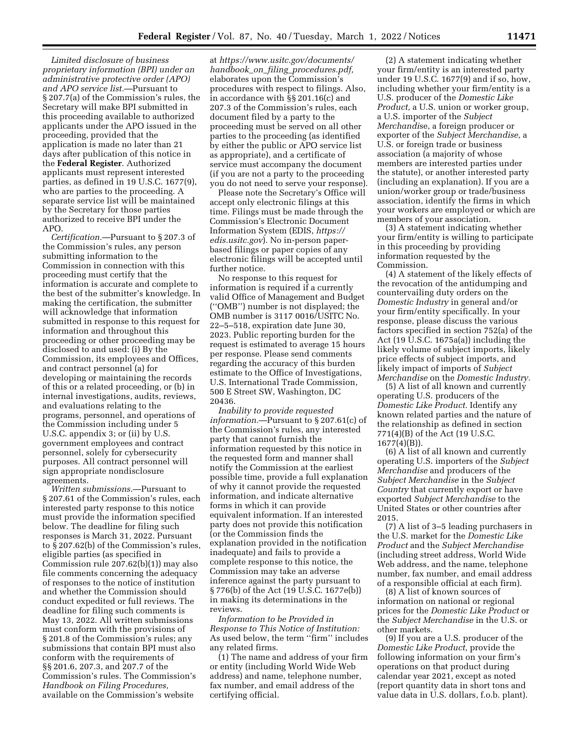*Limited disclosure of business proprietary information (BPI) under an administrative protective order (APO) and APO service list.*—Pursuant to § 207.7(a) of the Commission's rules, the Secretary will make BPI submitted in this proceeding available to authorized applicants under the APO issued in the proceeding, provided that the application is made no later than 21 days after publication of this notice in the **Federal Register**. Authorized applicants must represent interested parties, as defined in 19 U.S.C. 1677(9), who are parties to the proceeding. A separate service list will be maintained by the Secretary for those parties authorized to receive BPI under the APO.

*Certification.*—Pursuant to § 207.3 of the Commission's rules, any person submitting information to the Commission in connection with this proceeding must certify that the information is accurate and complete to the best of the submitter's knowledge. In making the certification, the submitter will acknowledge that information submitted in response to this request for information and throughout this proceeding or other proceeding may be disclosed to and used: (i) By the Commission, its employees and Offices, and contract personnel (a) for developing or maintaining the records of this or a related proceeding, or (b) in internal investigations, audits, reviews, and evaluations relating to the programs, personnel, and operations of the Commission including under 5 U.S.C. appendix 3; or (ii) by U.S. government employees and contract personnel, solely for cybersecurity purposes. All contract personnel will sign appropriate nondisclosure agreements.

*Written submissions.*—Pursuant to § 207.61 of the Commission's rules, each interested party response to this notice must provide the information specified below. The deadline for filing such responses is March 31, 2022. Pursuant to § 207.62(b) of the Commission's rules, eligible parties (as specified in Commission rule 207.62(b)(1)) may also file comments concerning the adequacy of responses to the notice of institution and whether the Commission should conduct expedited or full reviews. The deadline for filing such comments is May 13, 2022. All written submissions must conform with the provisions of § 201.8 of the Commission's rules; any submissions that contain BPI must also conform with the requirements of §§ 201.6, 207.3, and 207.7 of the Commission's rules. The Commission's *Handbook on Filing Procedures,*  available on the Commission's website

at *https://www.usitc.gov/documents/ handbook*\_*on*\_*filing*\_*procedures.pdf,*  elaborates upon the Commission's procedures with respect to filings. Also, in accordance with §§ 201.16(c) and 207.3 of the Commission's rules, each document filed by a party to the proceeding must be served on all other parties to the proceeding (as identified by either the public or APO service list as appropriate), and a certificate of service must accompany the document (if you are not a party to the proceeding you do not need to serve your response).

Please note the Secretary's Office will accept only electronic filings at this time. Filings must be made through the Commission's Electronic Document Information System (EDIS, *https:// edis.usitc.gov*). No in-person paperbased filings or paper copies of any electronic filings will be accepted until further notice.

No response to this request for information is required if a currently valid Office of Management and Budget (''OMB'') number is not displayed; the OMB number is 3117 0016/USITC No. 22–5–518, expiration date June 30, 2023. Public reporting burden for the request is estimated to average 15 hours per response. Please send comments regarding the accuracy of this burden estimate to the Office of Investigations, U.S. International Trade Commission, 500 E Street SW, Washington, DC 20436.

*Inability to provide requested information.*—Pursuant to § 207.61(c) of the Commission's rules, any interested party that cannot furnish the information requested by this notice in the requested form and manner shall notify the Commission at the earliest possible time, provide a full explanation of why it cannot provide the requested information, and indicate alternative forms in which it can provide equivalent information. If an interested party does not provide this notification (or the Commission finds the explanation provided in the notification inadequate) and fails to provide a complete response to this notice, the Commission may take an adverse inference against the party pursuant to § 776(b) of the Act (19 U.S.C. 1677e(b)) in making its determinations in the reviews.

*Information to be Provided in Response to This Notice of Institution:*  As used below, the term ''firm'' includes any related firms.

(1) The name and address of your firm or entity (including World Wide Web address) and name, telephone number, fax number, and email address of the certifying official.

(2) A statement indicating whether your firm/entity is an interested party under 19 U.S.C. 1677(9) and if so, how, including whether your firm/entity is a U.S. producer of the *Domestic Like Product,* a U.S. union or worker group, a U.S. importer of the *Subject Merchandi*se, a foreign producer or exporter of the *Subject Merchandise,* a U.S. or foreign trade or business association (a majority of whose members are interested parties under the statute), or another interested party (including an explanation). If you are a union/worker group or trade/business association, identify the firms in which your workers are employed or which are members of your association.

(3) A statement indicating whether your firm/entity is willing to participate in this proceeding by providing information requested by the Commission.

(4) A statement of the likely effects of the revocation of the antidumping and countervailing duty orders on the *Domestic Industry* in general and/or your firm/entity specifically. In your response, please discuss the various factors specified in section 752(a) of the Act (19 U.S.C. 1675a(a)) including the likely volume of subject imports, likely price effects of subject imports, and likely impact of imports of *Subject Merchandise* on the *Domestic Industry.* 

(5) A list of all known and currently operating U.S. producers of the *Domestic Like Product.* Identify any known related parties and the nature of the relationship as defined in section 771(4)(B) of the Act (19 U.S.C.  $1677(4)(B)$ ).

(6) A list of all known and currently operating U.S. importers of the *Subject Merchandise* and producers of the *Subject Merchandise* in the *Subject Country* that currently export or have exported *Subject Merchandise* to the United States or other countries after 2015.

(7) A list of 3–5 leading purchasers in the U.S. market for the *Domestic Like Product* and the *Subject Merchandise*  (including street address, World Wide Web address, and the name, telephone number, fax number, and email address of a responsible official at each firm).

(8) A list of known sources of information on national or regional prices for the *Domestic Like Product* or the *Subject Merchandise* in the U.S. or other markets.

(9) If you are a U.S. producer of the *Domestic Like Product,* provide the following information on your firm's operations on that product during calendar year 2021, except as noted (report quantity data in short tons and value data in U.S. dollars, f.o.b. plant).